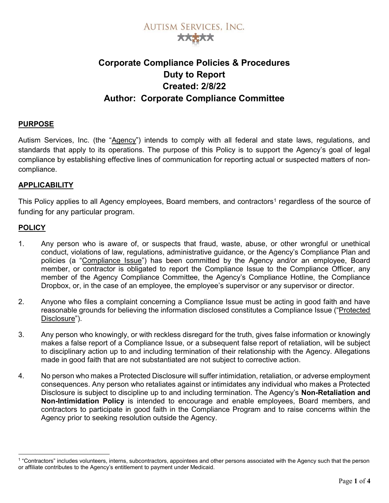

### Corporate Compliance Policies & Procedures Duty to Report Created: 2/8/22 Author: Corporate Compliance Committee

### PURPOSE

Autism Services, Inc. (the "Agency") intends to comply with all federal and state laws, regulations, and standards that apply to its operations. The purpose of this Policy is to support the Agency's goal of legal compliance by establishing effective lines of communication for reporting actual or suspected matters of noncompliance.

### **APPLICABILITY**

This Policy applies to all Agency employees, Board members, and contractors<sup>1</sup> regardless of the source of funding for any particular program.

### **POLICY**

-

- 1. Any person who is aware of, or suspects that fraud, waste, abuse, or other wrongful or unethical conduct, violations of law, regulations, administrative guidance, or the Agency's Compliance Plan and policies (a "Compliance Issue") has been committed by the Agency and/or an employee, Board member, or contractor is obligated to report the Compliance Issue to the Compliance Officer, any member of the Agency Compliance Committee, the Agency's Compliance Hotline, the Compliance Dropbox, or, in the case of an employee, the employee's supervisor or any supervisor or director.
- 2. Anyone who files a complaint concerning a Compliance Issue must be acting in good faith and have reasonable grounds for believing the information disclosed constitutes a Compliance Issue ("Protected Disclosure").
- 3. Any person who knowingly, or with reckless disregard for the truth, gives false information or knowingly makes a false report of a Compliance Issue, or a subsequent false report of retaliation, will be subject to disciplinary action up to and including termination of their relationship with the Agency. Allegations made in good faith that are not substantiated are not subject to corrective action.
- 4. No person who makes a Protected Disclosure will suffer intimidation, retaliation, or adverse employment consequences. Any person who retaliates against or intimidates any individual who makes a Protected Disclosure is subject to discipline up to and including termination. The Agency's Non-Retaliation and Non-Intimidation Policy is intended to encourage and enable employees, Board members, and contractors to participate in good faith in the Compliance Program and to raise concerns within the Agency prior to seeking resolution outside the Agency.

<sup>1</sup> "Contractors" includes volunteers, interns, subcontractors, appointees and other persons associated with the Agency such that the person or affiliate contributes to the Agency's entitlement to payment under Medicaid.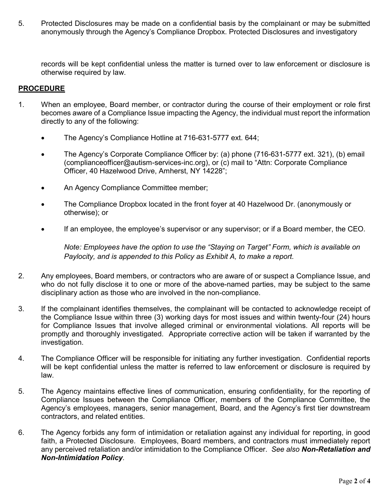5. Protected Disclosures may be made on a confidential basis by the complainant or may be submitted anonymously through the Agency's Compliance Dropbox. Protected Disclosures and investigatory

records will be kept confidential unless the matter is turned over to law enforcement or disclosure is otherwise required by law.

### PROCEDURE

- 1. When an employee, Board member, or contractor during the course of their employment or role first becomes aware of a Compliance Issue impacting the Agency, the individual must report the information directly to any of the following:
	- The Agency's Compliance Hotline at 716-631-5777 ext. 644;
	- The Agency's Corporate Compliance Officer by: (a) phone (716-631-5777 ext. 321), (b) email (complianceofficer@autism-services-inc.org), or (c) mail to "Attn: Corporate Compliance Officer, 40 Hazelwood Drive, Amherst, NY 14228";
	- An Agency Compliance Committee member;
	- The Compliance Dropbox located in the front foyer at 40 Hazelwood Dr. (anonymously or otherwise); or
	- If an employee, the employee's supervisor or any supervisor; or if a Board member, the CEO.

Note: Employees have the option to use the "Staying on Target" Form, which is available on Paylocity, and is appended to this Policy as Exhibit A, to make a report.

- 2. Any employees, Board members, or contractors who are aware of or suspect a Compliance Issue, and who do not fully disclose it to one or more of the above-named parties, may be subject to the same disciplinary action as those who are involved in the non-compliance.
- 3. If the complainant identifies themselves, the complainant will be contacted to acknowledge receipt of the Compliance Issue within three (3) working days for most issues and within twenty-four (24) hours for Compliance Issues that involve alleged criminal or environmental violations. All reports will be promptly and thoroughly investigated. Appropriate corrective action will be taken if warranted by the investigation.
- 4. The Compliance Officer will be responsible for initiating any further investigation. Confidential reports will be kept confidential unless the matter is referred to law enforcement or disclosure is required by law.
- 5. The Agency maintains effective lines of communication, ensuring confidentiality, for the reporting of Compliance Issues between the Compliance Officer, members of the Compliance Committee, the Agency's employees, managers, senior management, Board, and the Agency's first tier downstream contractors, and related entities.
- 6. The Agency forbids any form of intimidation or retaliation against any individual for reporting, in good faith, a Protected Disclosure. Employees, Board members, and contractors must immediately report any perceived retaliation and/or intimidation to the Compliance Officer. See also Non-Retaliation and Non-Intimidation Policy.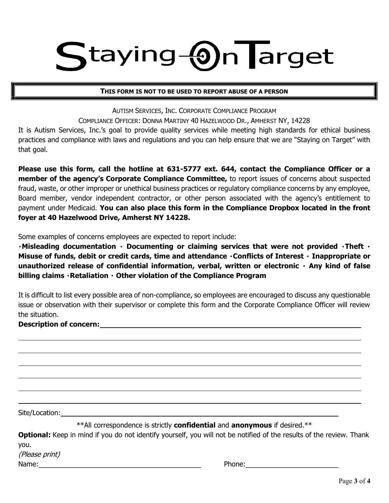## taying **On** Target

#### THIS FORM IS NOT TO BE USED TO REPORT ABUSE OF A PERSON

AUTISM SERVICES, INC. CORPORATE COMPLIANCE PROGRAM COMPLIANCE OFFICER: DONNA MARTINY 40 HAZELWOOD DR., AMHERST NY, 14228

It is Autism Services, Inc.'s goal to provide quality services while meeting high standards for ethical business practices and compliance with laws and regulations and you can help ensure that we are "Staying on Target" with that goal.

Please use this form, call the hotline at 631-5777 ext. 644, contact the Compliance Officer or a member of the agency's Corporate Compliance Committee, to report issues of concerns about suspected fraud, waste, or other improper or unethical business practices or regulatory compliance concerns by any employee, Board member, vendor independent contractor, or other person associated with the agency's entitlement to payment under Medicaid. You can also place this form in the Compliance Dropbox located in the front foyer at 40 Hazelwood Drive, Amherst NY 14228.

Some examples of concerns employees are expected to report include:

 $\cdot$  Misleading documentation  $\cdot$  Documenting or claiming services that were not provided  $\cdot$  Theft  $\cdot$ Misuse of funds, debit or credit cards, time and attendance · Conflicts of Interest · Inappropriate or unauthorized release of confidential information, verbal, written or electronic  $\cdot$  Any kind of false billing claims  $\cdot$  Retaliation  $\cdot$  Other violation of the Compliance Program

It is difficult to list every possible area of non-compliance, so employees are encouraged to discuss any questionable issue or observation with their supervisor or complete this form and the Corporate Compliance Officer will review the situation.

### Description of concern:

Site/Location:

L

 $\overline{a}$ 

\*\*All correspondence is strictly **confidential** and **anonymous** if desired.\*\*

**Optional:** Keep in mind if you do not identify yourself, you will not be notified of the results of the review. Thank you.

(Please print)

Name: Phone: